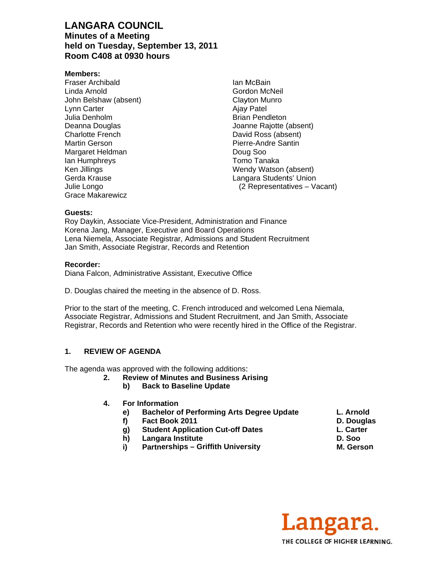# **LANGARA COUNCIL Minutes of a Meeting** held on Tuesday, September 13, 2011 Room C408 at 0930 hours

#### Members:

**Fraser Archibald** Linda Arnold John Belshaw (absent) Lynn Carter Julia Denholm Deanna Douglas **Charlotte French** Martin Gerson Margaret Heldman lan Humphreys Ken Jillings Gerda Krause Julie Longo **Grace Makarewicz** 

Ian McBain Gordon McNeil Clavton Munro **Ajay Patel Brian Pendleton** Joanne Rajotte (absent) David Ross (absent) Pierre-Andre Santin Doug Soo Tomo Tanaka Wendy Watson (absent) Langara Students' Union (2 Representatives - Vacant)

#### Guests:

Roy Daykin, Associate Vice-President, Administration and Finance Korena Jang, Manager, Executive and Board Operations Lena Niemela, Associate Registrar, Admissions and Student Recruitment Jan Smith, Associate Registrar, Records and Retention

#### Recorder:

Diana Falcon, Administrative Assistant, Executive Office

D. Douglas chaired the meeting in the absence of D. Ross.

Prior to the start of the meeting, C. French introduced and welcomed Lena Niemala, Associate Registrar, Admissions and Student Recruitment, and Jan Smith, Associate Registrar, Records and Retention who were recently hired in the Office of the Registrar.

#### $1<sub>1</sub>$ **REVIEW OF AGENDA**

The agenda was approved with the following additions:

- $2.$ **Review of Minutes and Business Arising** 
	- b) **Back to Baseline Update**
- 4. For Information
	- **Bachelor of Performing Arts Degree Update** e)
	- f) Fact Book 2011
	- **Student Application Cut-off Dates** g)
	- **Langara Institute** h)
	- i) **Partnerships - Griffith University**
- L. Arnold
- D. Douglas
- L. Carter D. Soo
- M. Gerson

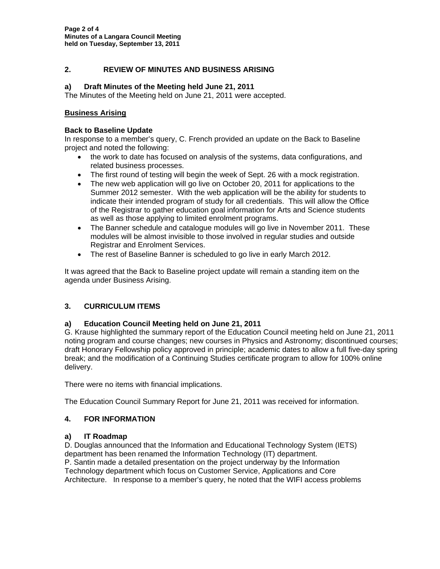## **2. REVIEW OF MINUTES AND BUSINESS ARISING**

#### **a) Draft Minutes of the Meeting held June 21, 2011**

The Minutes of the Meeting held on June 21, 2011 were accepted.

#### **Business Arising**

#### **Back to Baseline Update**

In response to a member's query, C. French provided an update on the Back to Baseline project and noted the following:

- the work to date has focused on analysis of the systems, data configurations, and related business processes.
- The first round of testing will begin the week of Sept. 26 with a mock registration.
- The new web application will go live on October 20, 2011 for applications to the Summer 2012 semester. With the web application will be the ability for students to indicate their intended program of study for all credentials. This will allow the Office of the Registrar to gather education goal information for Arts and Science students as well as those applying to limited enrolment programs.
- The Banner schedule and catalogue modules will go live in November 2011. These modules will be almost invisible to those involved in regular studies and outside Registrar and Enrolment Services.
- The rest of Baseline Banner is scheduled to go live in early March 2012.

It was agreed that the Back to Baseline project update will remain a standing item on the agenda under Business Arising.

#### **3. CURRICULUM ITEMS**

#### **a) Education Council Meeting held on June 21, 2011**

G. Krause highlighted the summary report of the Education Council meeting held on June 21, 2011 noting program and course changes; new courses in Physics and Astronomy; discontinued courses; draft Honorary Fellowship policy approved in principle; academic dates to allow a full five-day spring break; and the modification of a Continuing Studies certificate program to allow for 100% online delivery.

There were no items with financial implications.

The Education Council Summary Report for June 21, 2011 was received for information.

#### **4. FOR INFORMATION**

#### **a) IT Roadmap**

D. Douglas announced that the Information and Educational Technology System (IETS) department has been renamed the Information Technology (IT) department. P. Santin made a detailed presentation on the project underway by the Information Technology department which focus on Customer Service, Applications and Core Architecture. In response to a member's query, he noted that the WIFI access problems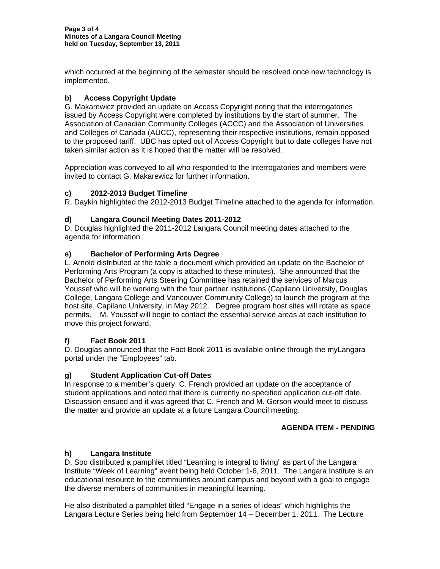which occurred at the beginning of the semester should be resolved once new technology is implemented.

# **b) Access Copyright Update**

G. Makarewicz provided an update on Access Copyright noting that the interrogatories issued by Access Copyright were completed by institutions by the start of summer. The Association of Canadian Community Colleges (ACCC) and the Association of Universities and Colleges of Canada (AUCC), representing their respective institutions, remain opposed to the proposed tariff. UBC has opted out of Access Copyright but to date colleges have not taken similar action as it is hoped that the matter will be resolved.

Appreciation was conveyed to all who responded to the interrogatories and members were invited to contact G. Makarewicz for further information.

# **c) 2012-2013 Budget Timeline**

R. Daykin highlighted the 2012-2013 Budget Timeline attached to the agenda for information.

# **d) Langara Council Meeting Dates 2011-2012**

D. Douglas highlighted the 2011-2012 Langara Council meeting dates attached to the agenda for information.

## **e) Bachelor of Performing Arts Degree**

L. Arnold distributed at the table a document which provided an update on the Bachelor of Performing Arts Program (a copy is attached to these minutes). She announced that the Bachelor of Performing Arts Steering Committee has retained the services of Marcus Youssef who will be working with the four partner institutions (Capilano University, Douglas College, Langara College and Vancouver Community College) to launch the program at the host site, Capilano University, in May 2012. Degree program host sites will rotate as space permits. M. Youssef will begin to contact the essential service areas at each institution to move this project forward.

# **f) Fact Book 2011**

D. Douglas announced that the Fact Book 2011 is available online through the myLangara portal under the "Employees" tab.

#### **g) Student Application Cut-off Dates**

In response to a member's query, C. French provided an update on the acceptance of student applications and noted that there is currently no specified application cut-off date. Discussion ensued and it was agreed that C. French and M. Gerson would meet to discuss the matter and provide an update at a future Langara Council meeting.

### **AGENDA ITEM - PENDING**

#### **h) Langara Institute**

D. Soo distributed a pamphlet titled "Learning is integral to living" as part of the Langara Institute "Week of Learning" event being held October 1-6, 2011. The Langara Institute is an educational resource to the communities around campus and beyond with a goal to engage the diverse members of communities in meaningful learning.

He also distributed a pamphlet titled "Engage in a series of ideas" which highlights the Langara Lecture Series being held from September 14 – December 1, 2011. The Lecture